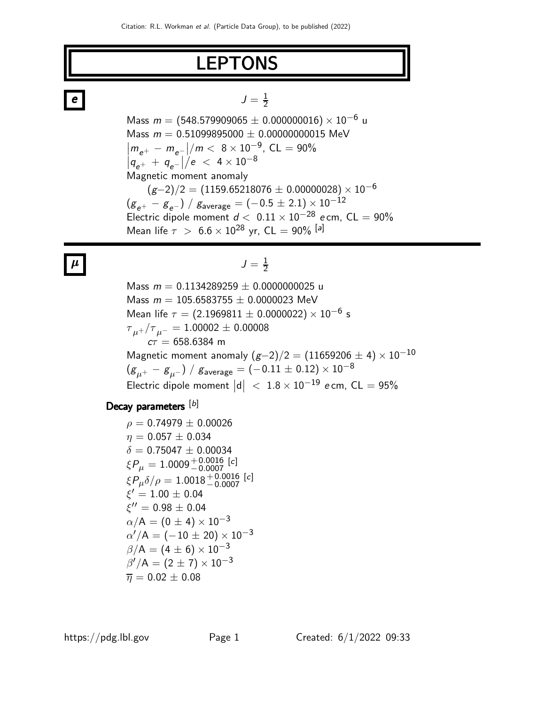# LEPTONS

# $e$   $J =$

Mass  $m = (548.579909065 \pm 0.000000016) \times 10^{-6}$  u Mass  $m = 0.51099895000 \pm 0.00000000015$  MeV  $\left| m_{e^+} - m_{e^-} \right| / m < 8 \times 10^{-9}$ , CL = 90%  $|q_{e^+}^e + q_{e^-}^e|/e < 4 \times 10^{-8}$ Magnetic moment anomaly  $(g-2)/2 = (1159.65218076 \pm 0.00000028) \times 10^{-6}$  $(g_{e^+} - g_{e^-}) / g_{\text{average}} = (-0.5 \pm 2.1) \times 10^{-12}$ Electric dipole moment  $d < 0.11 \times 10^{-28}$  e cm, CL = 90% Mean life  $\tau > 6.6 \times 10^{28}$  yr, CL = 90% [a]

1 2

#### $\mu$   $J = \frac{1}{2}$ 2

Mass  $m = 0.1134289259 \pm 0.0000000025$  u Mass  $m = 105.6583755 \pm 0.0000023$  MeV Mean life  $\tau = (2.1969811 \pm 0.0000022) \times 10^{-6}$  s  ${\tau}_{\mu^+}/{\tau}_{\mu^-} = 1.00002 \pm 0.00008$  $c\tau = 658.6384$  m Magnetic moment anomaly  $(g-2)/2 = (11659206 \pm 4) \times 10^{-10}$  $(g_{\mu^+} - g_{\mu^-}) / g_{\text{average}} = (-0.11 \pm 0.12) \times 10^{-8}$ Electric dipole moment  $|d| < 1.8 \times 10^{-19}$  e cm, CL = 95%

### Decay parameters [b]

 $\rho = 0.74979 \pm 0.00026$  $\eta = 0.057 \pm 0.034$  $\delta = 0.75047 \pm 0.00034$  $\xi P_\mu = 1.0009^{+ \, 0.0016}_{- \, 0.0007}$  [c]  $\xi P_\mu \delta/\rho=1.0018^{+ \, 0.0016}_{- \, 0.0007}\; [c]$  $\xi' = 1.00 \pm 0.04$  $\dot{\xi}^{\prime\prime}=0.98\pm0.04$  $\alpha/A = (0 \pm 4) \times 10^{-3}$  $\alpha'/\mathsf{A}=(-10\pm20)\times10^{-3}$  $\beta/A = (4 \pm 6) \times 10^{-3}$  $\beta'/A = (2 \pm 7) \times 10^{-3}$  $\bar{\eta} = 0.02 \pm 0.08$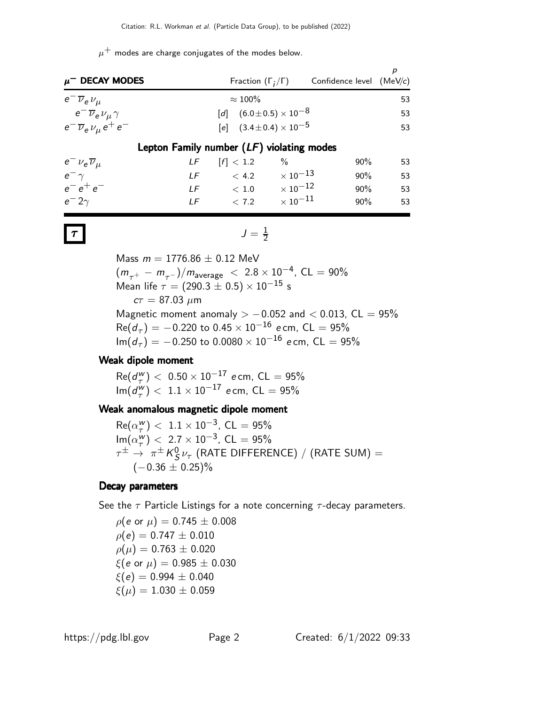$\mu^+$  modes are charge conjugates of the modes below.

| $\mu^-$ DECAY MODES                          | Fraction $(\Gamma_i/\Gamma)$       |                            | Confidence level $(MeV/c)$ |    |  |  |  |  |  |
|----------------------------------------------|------------------------------------|----------------------------|----------------------------|----|--|--|--|--|--|
| $e^{-}\overline{\nu}_{e}\nu_{\mu}$           | $\approx 100\%$                    |                            |                            | 53 |  |  |  |  |  |
| $e^{-}\overline{\nu}_{e}\nu_{\mu}\gamma$     | [d] $(6.0 \pm 0.5) \times 10^{-8}$ |                            |                            | 53 |  |  |  |  |  |
| $e^{-}\overline{\nu}_{e}\nu_{\mu}e^{+}e^{-}$ | [e] $(3.4 \pm 0.4) \times 10^{-5}$ |                            |                            | 53 |  |  |  |  |  |
| Lepton Family number $(LF)$ violating modes  |                                    |                            |                            |    |  |  |  |  |  |
| $e^- \nu_e \overline{\nu}_\mu$<br>LF.        | [f] < 1.2                          | $\%$                       | $90\%$                     | 53 |  |  |  |  |  |
| $e^ \gamma$<br>LF                            | < 4.2                              | $\times$ 10 $^{-13}$       | 90%                        | 53 |  |  |  |  |  |
| $e^-e^+e^-$                                  | LF $< 1.0 \times 10^{-12}$         |                            | 90%                        | 53 |  |  |  |  |  |
| $e^- 2\gamma$<br>IF                          | < 7.2                              | $\times$ 10 <sup>-11</sup> | 90%                        | 53 |  |  |  |  |  |

$$
\mathcal{T} \qquad \qquad J = \frac{1}{2}
$$

Mass  $m = 1776.86 \pm 0.12$  MeV  $(m_{\tau^+} - m_{\tau^-})/m_{\text{average}} < 2.8 \times 10^{-4}$ , CL = 90% Mean life  $\tau = (290.3 \pm 0.5) \times 10^{-15}$  s  $c\tau = 87.03 \mu m$ Magnetic moment anomaly  $> -0.052$  and  $< 0.013$ , CL = 95%  $\mathsf{Re}(d_\tau)=-0.220$  to  $0.45\times 10^{-16}$  ecm, CL  $=95\%$  ${\sf Im}(d_{\tau})=-0.250$  to  $0.0080\times 10^{-16}$  ecm, CL  $=95\%$ 

#### Weak dipole moment

 $Re(d^w_\tau$  $(\frac{w}{\tau})$  <  $0.50 \times 10^{-17}$  e cm, CL =  $95\%$  $\operatorname{Im}(d^w_\tau)$  $\frac{1}{T}$ ) < 1.1 × 10<sup>-17</sup> ecm, CL = 95%

#### Weak anomalous magnetic dipole moment

 $Re(\alpha_{\tau}^{w})$  $(\frac{w}{\tau})$  < 1.1 × 10<sup>-3</sup>, CL = 95%  $\mathsf{Im}(\alpha_{\tau}^{\mathsf{W}})$  $\frac{1}{T}$ ) < 2.7 × 10<sup>-3</sup>, CL = 95%  $\tau^{\pm} \rightarrow \pi^{\pm} K_{S}^{0}$  $^0_S\nu_\tau$  (RATE DIFFERENCE) / (RATE SUM) =  $(-0.36 \pm 0.25)\%$ 

#### Decay parameters

See the  $\tau$  Particle Listings for a note concerning  $\tau$ -decay parameters.

 $ρ(e$  or  $μ) = 0.745 ± 0.008$  $\rho(e) = 0.747 \pm 0.010$  $\rho(\mu) = 0.763 \pm 0.020$  $\xi(e \text{ or } \mu) = 0.985 \pm 0.030$  $\xi(e) = 0.994 \pm 0.040$  $\xi(\mu) = 1.030 \pm 0.059$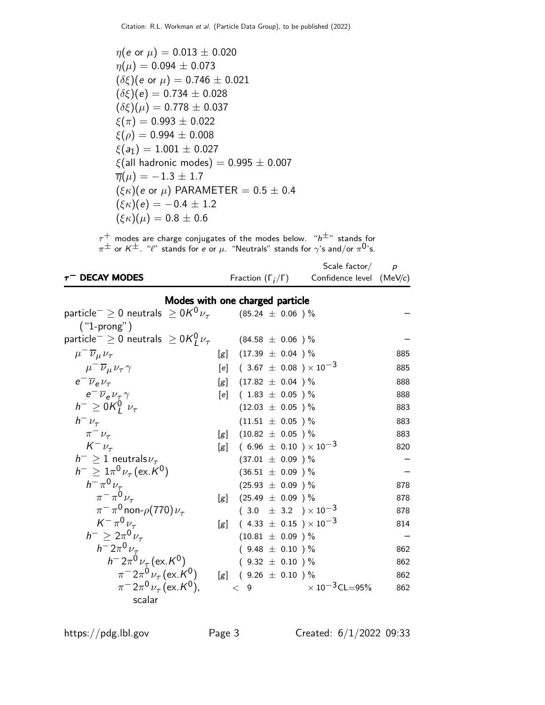$$
\eta(e \text{ or } \mu) = 0.013 \pm 0.020
$$
  
\n
$$
\eta(\mu) = 0.094 \pm 0.073
$$
  
\n
$$
(\delta\xi)(e \text{ or } \mu) = 0.746 \pm 0.021
$$
  
\n
$$
(\delta\xi)(e) = 0.734 \pm 0.028
$$
  
\n
$$
(\delta\xi)(\mu) = 0.778 \pm 0.037
$$
  
\n
$$
\xi(\pi) = 0.993 \pm 0.022
$$
  
\n
$$
\xi(\rho) = 0.994 \pm 0.008
$$
  
\n
$$
\xi(a_1) = 1.001 \pm 0.027
$$
  
\n
$$
\xi(\text{all hadronic modes}) = 0.995 \pm 0.007
$$
  
\n
$$
\overline{\eta}(\mu) = -1.3 \pm 1.7
$$
  
\n
$$
(\xi\kappa)(e \text{ or } \mu) \text{ PARAMETER} = 0.5 \pm 0.4
$$
  
\n
$$
(\xi\kappa)(e) = -0.4 \pm 1.2
$$
  
\n
$$
(\xi\kappa)(\mu) = 0.8 \pm 0.6
$$

 $\tau^+$  modes are charge conjugates of the modes below. " $\mathsf{h}^{\pm}$ " stands for  $\pi^{\pm}$  or  $K^{\pm}$ . " $\ell$ " stands for e or  $\mu$ . "Neutrals" stands for  $\gamma$ 's and/or  $\pi^{0}$ 's.

|                                                                             |     |                                      | Scale factor/            | $\boldsymbol{p}$ |
|-----------------------------------------------------------------------------|-----|--------------------------------------|--------------------------|------------------|
| <b>DECAY MODES</b>                                                          |     | Fraction $(\Gamma_i/\Gamma)$         | Confidence level (MeV/c) |                  |
|                                                                             |     | Modes with one charged particle      |                          |                  |
| particle <sup>-</sup> $\geq$ 0 neutrals $\geq$ 0K <sup>0</sup> $\nu_{\tau}$ |     | $(85.24 \;\pm\; 0.06$ ) $\%$         |                          |                  |
| $(''1-prong'')$                                                             |     |                                      |                          |                  |
| particle <sup>-</sup> $\geq$ 0 neutrals $\geq$ 0K $^{0}_{I}$ $\nu_{\tau}$   |     | $(84.58 \;\pm\; 0.06$ ) $\%$         |                          |                  |
| $\mu^{-1}\overline{\nu}_{\mu}\nu_{\tau}$                                    |     | $[g]$ (17.39 $\pm$ 0.04 ) %          |                          | 885              |
| $\mu^{-} \overline{\nu}_{\mu} \nu_{\tau} \gamma$                            |     | [e] $(3.67 \pm 0.08) \times 10^{-3}$ |                          | 885              |
| $e^{-}\overline{\nu}_{\rho}\nu_{\tau}$                                      |     | [g] $(17.82 \pm 0.04)$ %             |                          | 888              |
| $e^{-}\overline{\nu}_{e}\nu_{\tau}\gamma$                                   |     | $[e]$ (1.83 $\pm$ 0.05 ) %           |                          | 888              |
| $h^{-} \geq 0K_l^0$ $\nu_{\tau}$                                            |     | $(12.03 \pm 0.05)$ %                 |                          | 883              |
| $h^-\nu_\tau$                                                               |     | $(11.51 \pm 0.05)$ %                 |                          | 883              |
| $\pi^ \nu_{\tau}$                                                           | [g] | $(10.82 \pm 0.05)$ %                 |                          | 883              |
| $K^-\nu_\tau$                                                               | [g] | $(6.96 \pm 0.10) \times 10^{-3}$     |                          | 820              |
| $h^{-} \geq 1$ neutrals $\nu_{\tau}$                                        |     | $(37.01 \pm 0.09)$ %                 |                          |                  |
| $h^{-} \geq 1 \pi^{0} \nu_{\tau} (\text{ex. } K^{0})$                       |     | $(36.51 \pm 0.09)$ %                 |                          |                  |
| $h^{-} \pi^{0} \nu_{\tau}$                                                  |     | $(25.93 \pm 0.09)$ %                 |                          | 878              |
| $\pi^{-} \pi^{0} \nu_{\tau}$                                                | [g] | $(25.49 \pm 0.09)$ %                 |                          | 878              |
| $\pi^-\pi^0$ non- $\rho(770)\nu_\tau$                                       |     | $(3.0 \pm 3.2) \times 10^{-3}$       |                          | 878              |
| $K^{-} \pi^{0} \nu_{\tau}$                                                  |     | [g] $(4.33 \pm 0.15) \times 10^{-3}$ |                          | 814              |
| $h^{-}$ > $2\pi^{0}\nu_{\tau}$                                              |     | $(10.81 \pm 0.09)$ %                 |                          |                  |
| $h^{-}2\pi^{0}\nu_{\tau}$                                                   |     | $(9.48 \pm 0.10)$ %                  |                          | 862              |
| $h^- 2\pi^0 \nu_\tau (\text{ex. K}^0)$                                      |     | $(9.32 \pm 0.10)$ %                  |                          | 862              |
| $\pi^{-}2\pi^{0}\nu_{\tau}$ (ex. K <sup>0</sup> )                           | [g] | $(9.26 \pm 0.10)^{9}$                |                          | 862              |
| $\pi^{-}2\pi^{0}\nu_{\tau}$ (ex. K <sup>0</sup> ),                          |     | 9<br>$\lt$                           | $\times 10^{-3}$ CL=95%  | 862              |
| scalar                                                                      |     |                                      |                          |                  |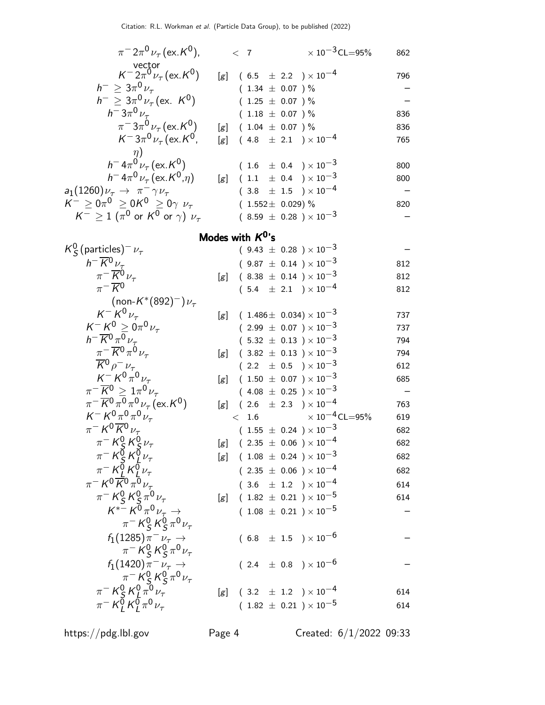| $\pi^{-}2\pi^{0}\nu_{\tau}$ (ex. K <sup>0</sup> ),                                                                                                                |     | $\langle$ 7         |  |                                                    |  | $\times$ 10 <sup>-3</sup> CL=95% | 862 |
|-------------------------------------------------------------------------------------------------------------------------------------------------------------------|-----|---------------------|--|----------------------------------------------------|--|----------------------------------|-----|
| vector<br>$K^- 2\pi^0 \nu_\tau$ (ex. $K^0$ )                                                                                                                      |     |                     |  | $[g]$ (6.5 $\pm$ 2.2 ) × 10 <sup>-4</sup>          |  |                                  | 796 |
| $h^{-} \geq 3\pi^{0} \nu_{\tau}$                                                                                                                                  |     |                     |  | $(1.34 \pm 0.07)$ %                                |  |                                  |     |
| $h^{-} \geq 3\pi^{0} \nu_{\tau}$ (ex. $K^{0}$ )                                                                                                                   |     |                     |  | $(1.25 \pm 0.07) \%$                               |  |                                  |     |
| $h^{-}3\pi^{0}\nu_{\tau}$                                                                                                                                         |     |                     |  | $(1.18 \pm 0.07)$ %                                |  |                                  | 836 |
| $\pi^{-}3\pi^{0}\nu_{\tau}$ (ex. K <sup>0</sup> )                                                                                                                 |     |                     |  | $[g]$ (1.04 $\pm$ 0.07 ) %                         |  |                                  | 836 |
| $K^- 3\pi^0 \nu_\tau$ (ex. $K^0$ ,                                                                                                                                |     |                     |  | [g] $(4.8 \pm 2.1) \times 10^{-4}$                 |  |                                  | 765 |
| $\eta$ )                                                                                                                                                          |     |                     |  |                                                    |  |                                  |     |
| $h^- 4\pi^0 \nu_\tau (\text{ex. } K^0)$                                                                                                                           |     |                     |  | $(1.6 \pm 0.4) \times 10^{-3}$                     |  |                                  | 800 |
| $h^- 4\pi^0 \nu_\tau (\text{ex.} K^0, \eta)$                                                                                                                      |     |                     |  | $[g]$ (1.1 $\pm$ 0.4 ) × 10 <sup>-3</sup>          |  |                                  | 800 |
| $a_1(1260)\nu_\tau \rightarrow \pi^- \gamma \nu_\tau$                                                                                                             |     |                     |  | $(3.8 \pm 1.5) \times 10^{-4}$                     |  |                                  |     |
| $K^{-} \ge 0 \pi^{0} \ge 0 K^{0} \ge 0 \gamma \nu_{\tau}$                                                                                                         |     |                     |  | $(1.552 \pm 0.029)$ %                              |  |                                  | 820 |
| $K^- \geq 1$ ( $\pi^0$ or $K^0$ or $\gamma$ ) $\nu_{\tau}$                                                                                                        |     |                     |  | $(8.59 \pm 0.28) \times 10^{-3}$                   |  |                                  |     |
|                                                                                                                                                                   |     | Modes with $K^0$ 's |  |                                                    |  |                                  |     |
| $K_S^0$ (particles) <sup>-</sup> $\nu_{\tau}$                                                                                                                     |     |                     |  | $(9.43 \pm 0.28) \times 10^{-3}$                   |  |                                  |     |
| $h^{-} \overline{K}{}^{0} \nu_{\tau}$                                                                                                                             |     |                     |  | $(9.87 \pm 0.14) \times 10^{-3}$                   |  |                                  | 812 |
| $\pi^{-} \overline{K}{}^{0} \nu_{\tau}$                                                                                                                           | [g] |                     |  | $(8.38 \pm 0.14) \times 10^{-3}$                   |  |                                  | 812 |
| $\pi^{-} \overline{K}{}^{0}$                                                                                                                                      |     |                     |  | $(5.4 \pm 2.1) \times 10^{-4}$                     |  |                                  | 812 |
| (non- $K^*(892)^-) \nu_\tau$                                                                                                                                      |     |                     |  |                                                    |  |                                  |     |
| $K^- K^0 \nu_{\tau}$                                                                                                                                              |     |                     |  | $[g]$ (1.486 ± 0.034) × 10 <sup>-3</sup>           |  |                                  | 737 |
| $K^- K^0 \ge 0 \pi^0 \nu_{\tau}$                                                                                                                                  |     |                     |  | $(2.99 \pm 0.07) \times 10^{-3}$                   |  |                                  | 737 |
| $h^{-} \overline{K}^{0} \pi^{0} \nu_{\tau}$                                                                                                                       |     |                     |  | $(5.32 \pm 0.13) \times 10^{-3}$                   |  |                                  | 794 |
| $\pi^{-} \overline{K}^{0} \pi^{0} \nu_{\tau}$                                                                                                                     |     |                     |  | [g] $(3.82 \pm 0.13) \times 10^{-3}$               |  |                                  | 794 |
| $\overline{K}{}^0 \rho^- \nu_\tau$                                                                                                                                |     |                     |  | $(2.2 \pm 0.5) \times 10^{-3}$                     |  |                                  | 612 |
| $K^{-\nu} K^{0\tau} \bar{\psi}_{\tau}$                                                                                                                            |     |                     |  | [g] $(1.50 \pm 0.07) \times 10^{-3}$               |  |                                  | 685 |
| $\pi^-\overline{K}{}^0\geq 1\pi^0\nu_\tau$                                                                                                                        |     |                     |  | $(4.08 \pm 0.25) \times 10^{-3}$                   |  |                                  |     |
| $\pi^{-}$ $\overline{K}^{0}$ $\pi^{0}$ $\pi^{0}$ $\nu_{\tau}$ (ex. $K^{0}$ )                                                                                      |     |                     |  | $[g]$ (2.6 $\pm$ 2.3 ) × 10 <sup>-4</sup>          |  |                                  | 763 |
| $K^- K^0 \pi^0 \pi^0 \nu_\tau$                                                                                                                                    |     | < 1.6               |  |                                                    |  | $\times$ 10 $^{-4}$ CL $=$ 95%   | 619 |
| $\pi^- K^0 \overline{K}{}^0 \nu_\tau$                                                                                                                             |     |                     |  | $(1.55 \pm 0.24) \times 10^{-3}$                   |  |                                  | 682 |
|                                                                                                                                                                   |     |                     |  | $[g]$ (2.35 $\pm$ 0.06 ) $\times$ 10 <sup>-4</sup> |  |                                  | 682 |
|                                                                                                                                                                   |     |                     |  | $[g]$ (1.08 $\pm$ 0.24 ) $\times$ 10 <sup>-3</sup> |  |                                  | 682 |
|                                                                                                                                                                   |     |                     |  | $(2.35 \pm 0.06) \times 10^{-4}$                   |  |                                  | 682 |
| $\begin{array}{c}\pi^-K^0_S\,K^0_S\,\nu_\tau\\ \pi^-K^0_S\,K^0_L\,\nu_\tau\\ \pi^-K^0_L\,K^0_L\,\nu_\tau\\ \pi^-K^0\overline{K}^0\,\pi^0\,\nu_\tau\\ \end{array}$ |     |                     |  | $(3.6 \pm 1.2) \times 10^{-4}$                     |  |                                  | 614 |
| $\pi^- K^0_S K^0_S \pi^0 \nu_\tau$                                                                                                                                |     |                     |  | [g] $(1.82 \pm 0.21) \times 10^{-5}$               |  |                                  | 614 |
| $K^{*}$ $K^{0} \pi^{0} \nu_{\tau} \rightarrow$                                                                                                                    |     |                     |  | $(1.08 \pm 0.21) \times 10^{-5}$                   |  |                                  |     |
| $\pi^- K^0_S K^0_S \pi^0 \nu_\tau$                                                                                                                                |     |                     |  |                                                    |  |                                  |     |
| $f_1(1285)\pi^- \nu_\tau \to$                                                                                                                                     |     |                     |  | $(6.8 \pm 1.5) \times 10^{-6}$                     |  |                                  |     |
| $\pi^- K^0_S K^0_S \pi^0 \nu_\tau$                                                                                                                                |     |                     |  |                                                    |  |                                  |     |
| $f_1(1420)\pi^- \nu_\tau \to$                                                                                                                                     |     |                     |  | $(2.4 \pm 0.8) \times 10^{-6}$                     |  |                                  |     |

 $\pi^-$  K<sup>0</sup>  $^0_S$ K $^0_S$  $\int_S^0 \pi^0 \nu_\tau$  $^0_\varsigma$  K  $^0_\downarrow$  $\frac{1}{4} \pi^0 \nu_\tau$  [g] ( 3.2  $\pm$  1.2 ) × 10<sup>-4</sup> 614  $^0_L$  K  $^0_L$  $\int_{L}^{0} \pi^{0} \nu_{\tau}$  (1.82  $\pm$  0.21 ) × 10<sup>-5</sup> 614

 $\pi^-$  K<sup>0</sup>

 $\pi^-$  K $\breve{\theta}$ 

https://pdg.lbl.gov Page 4 Created: 6/1/2022 09:33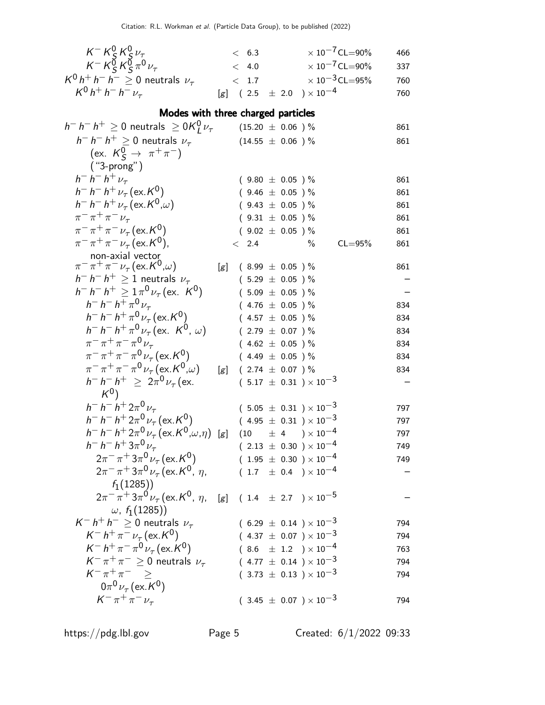|                                                                                         |     | < 6.3                   |                                                                      | $\times$ 10 <sup>-7</sup> CL=90% | 466        |
|-----------------------------------------------------------------------------------------|-----|-------------------------|----------------------------------------------------------------------|----------------------------------|------------|
| $K^- K^0_S K^0_S \nu_\tau$<br>$K^- K^0_S K^0_S \pi^0 \nu_\tau$                          |     | < 4.0                   |                                                                      | $\times$ 10 <sup>-7</sup> CL=90% | 337        |
| $K^0 h^+ h^- h^- \geq 0$ neutrals $\nu_{\tau}$                                          |     | < 1.7                   |                                                                      | $\times$ 10 <sup>-3</sup> CL=95% | 760        |
| $K^0 h^+ h^- h^- \nu_\tau$                                                              |     |                         | [g] $(2.5 \pm 2.0) \times 10^{-4}$                                   |                                  | 760        |
| Modes with three charged particles                                                      |     |                         |                                                                      |                                  |            |
| $h^- h^- h^+ \geq 0$ neutrals $\geq 0$ K $^0$ $\nu_{\tau}$                              |     | $(15.20~\pm~0.06~)~\%$  |                                                                      |                                  | 861        |
| $h^- h^- h^+ \geq 0$ neutrals $\nu_\tau$                                                |     |                         | $(14.55 \pm 0.06)$ %                                                 |                                  | 861        |
| (ex. $K_S^0 \to \pi^+ \pi^-$ )                                                          |     |                         |                                                                      |                                  |            |
| $('3-prong")$                                                                           |     |                         |                                                                      |                                  |            |
| $h^- h^- h^+ \nu_\tau$                                                                  |     |                         | $(9.80 \pm 0.05)$ %                                                  |                                  | 861        |
| $h^- h^- h^+ \nu_\tau (\text{ex. } K^0)$                                                |     |                         | $(9.46 \pm 0.05)$ %                                                  |                                  | 861        |
| $h^- h^- h^+ \nu_\tau (\text{ex. } K^0,\omega)$                                         |     |                         | $(9.43 \pm 0.05)$ %                                                  |                                  | 861        |
| $\pi^{-} \pi^{+} \pi^{-} \nu_{\tau}$                                                    |     |                         | $(9.31 \pm 0.05)$ %                                                  |                                  | 861        |
| $\pi^{-} \pi^{+} \pi^{-} \nu_{\tau}$ (ex. K <sup>0</sup> )                              |     |                         | $(9.02 \pm 0.05)$ %                                                  |                                  | 861        |
| $\pi^{-} \pi^{+} \pi^{-} \nu_{\tau}$ (ex. K <sup>0</sup> ),                             |     | < 2.4                   | $\%$                                                                 | $CL = 95%$                       | 861        |
| non-axial vector                                                                        |     |                         |                                                                      |                                  |            |
| $\pi^{-} \pi^{+} \pi^{-} \nu_{\tau}$ (ex. $K^{0}$ , $\omega$ )                          | [g] |                         | $(8.99 \pm 0.05)$ %                                                  |                                  | 861        |
| $h^- h^- h^+ \geq 1$ neutrals $\nu_\tau$                                                |     |                         | $(5.29 \pm 0.05) \%$                                                 |                                  |            |
| $h^- h^- h^+ \geq 1 \pi^0 \nu_\tau (\text{ex. } K^0)$<br>$h^- h^- h^+ \pi^0 \nu_\tau$   |     |                         | $(5.09 \pm 0.05)$ %                                                  |                                  |            |
| $h^- h^- h^+ \pi^0 \nu_\tau (\text{ex. } K^0)$                                          |     |                         | $(4.76 \pm 0.05)$ %<br>$(4.57 \pm 0.05)$ %                           |                                  | 834        |
| $h^- h^- h^+ \pi^0 \nu_\tau (\text{ex. } K^0, \omega)$                                  |     |                         | $(2.79 \pm 0.07)$ %                                                  |                                  | 834<br>834 |
| $\pi^{-} \pi^{+} \pi^{-} \pi^{0} \nu_{\tau}$                                            |     |                         | $(4.62 \pm 0.05)$ %                                                  |                                  | 834        |
| $\pi^{-} \pi^{+} \pi^{-} \pi^{0} \nu_{\tau}$ (ex. K <sup>0</sup> )                      |     |                         | $(4.49 \pm 0.05)$ %                                                  |                                  | 834        |
| $\pi^{-} \pi^{+} \pi^{-} \pi^{0} \nu_{\tau}$ (ex. K <sup>0</sup> , $\omega$ )           |     | [g] $(2.74 \pm 0.07)$ % |                                                                      |                                  | 834        |
| $h^- h^- h^+ \geq 2\pi^0 \nu_\tau$ (ex.                                                 |     |                         | $(5.17 \pm 0.31) \times 10^{-3}$                                     |                                  |            |
| $K^0$                                                                                   |     |                         |                                                                      |                                  |            |
| $h^- h^- h^+ 2\pi^0 \nu_\tau$                                                           |     |                         | $(5.05 \pm 0.31) \times 10^{-3}$                                     |                                  | 797        |
| $h^- h^- h^+ 2\pi^0 \nu_\tau (\text{ex. } K^0)$                                         |     |                         | $(4.95 \pm 0.31) \times 10^{-3}$                                     |                                  | 797        |
| $h^- h^- h^+ 2\pi^0 \nu_\tau (\text{ex.} K^0, \omega, \eta)$ [g]                        |     |                         | $(10 \t\pm 4 \t)\times 10^{-4}$                                      |                                  | 797        |
| $h^- h^- h^+ 3\pi^0 \nu_\tau$                                                           |     |                         | $(2.13 \pm 0.30) \times 10^{-4}$                                     |                                  | 749        |
| $2\pi^{-} \pi^{+} 3\pi^{0} \nu_{\tau}$ (ex. K <sup>0</sup> )                            |     |                         | $(1.95 \pm 0.30) \times 10^{-4}$                                     |                                  | 749        |
| $2\pi^{-} \pi^{+} 3\pi^{0} \nu_{\tau}$ (ex. K <sup>0</sup> , $\eta$ ,                   |     |                         | $(1.7 \pm 0.4) \times 10^{-4}$                                       |                                  |            |
| $f_1(1285)$                                                                             |     |                         |                                                                      |                                  |            |
| $2\pi^{-} \pi^{+} 3\pi^{0} \nu_{\tau}$ (ex. K <sup>0</sup> , $\eta$ ,                   |     |                         | [g] $(1.4 \pm 2.7) \times 10^{-5}$                                   |                                  |            |
| $\omega$ , $f_1(1285)$                                                                  |     |                         |                                                                      |                                  |            |
| $K^- h^+ h^- \geq 0$ neutrals $\nu_{\tau}$<br>$K^- h^+ \pi^- \nu_\tau (\text{ex.} K^0)$ |     |                         | $(6.29 \pm 0.14) \times 10^{-3}$<br>$(4.37 \pm 0.07) \times 10^{-3}$ |                                  | 794        |
| $K^- h^+ \pi^- \pi^0 \nu_\tau (\text{ex.} K^0)$                                         |     |                         | $(8.6 \pm 1.2) \times 10^{-4}$                                       |                                  | 794        |
| $K^-\pi^+\pi^- \geq 0$ neutrals $\nu_{\tau}$                                            |     |                         | $(4.77 \pm 0.14) \times 10^{-3}$                                     |                                  | 763<br>794 |
| $K^-\pi^+\pi^ \geq$                                                                     |     |                         | $(3.73 \pm 0.13) \times 10^{-3}$                                     |                                  | 794        |
| $0\pi^{0}\nu_{\tau}$ (ex. $K^{0}$ )                                                     |     |                         |                                                                      |                                  |            |
| $K^{-} \pi^{+} \pi^{-} \nu_{\tau}$                                                      |     |                         | $(3.45 \pm 0.07) \times 10^{-3}$                                     |                                  | 794        |
|                                                                                         |     |                         |                                                                      |                                  |            |

https://pdg.lbl.gov Page 5 Created: 6/1/2022 09:33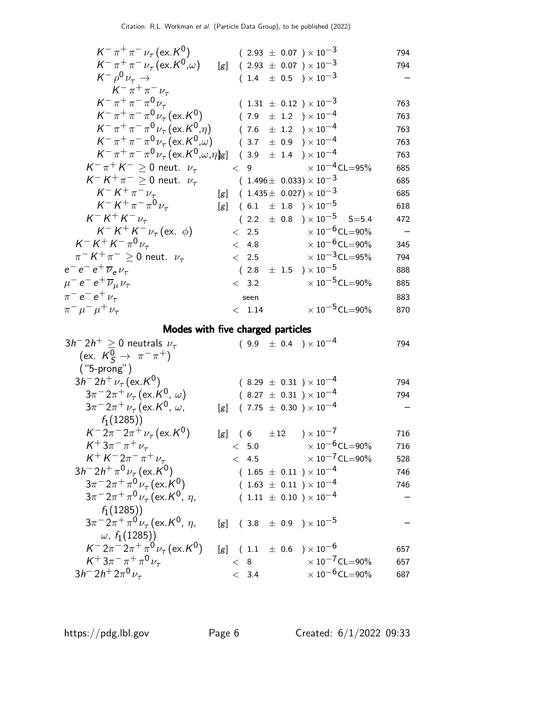| $K^{-} \pi^{+} \pi^{-} \nu_{\tau}$ (ex. K <sup>0</sup> )                                                                       |     |            | $(2.93 \pm 0.07) \times 10^{-3}$                                          | 794        |
|--------------------------------------------------------------------------------------------------------------------------------|-----|------------|---------------------------------------------------------------------------|------------|
| $K^{-} \pi^{+} \pi^{-} \nu_{\tau} (\text{ex.} K^{0}, \omega)$                                                                  | [g] |            | $(2.93 \pm 0.07) \times 10^{-3}$                                          | 794        |
| $K^- \rho^0 \nu_\tau \rightarrow$                                                                                              |     |            | $(1.4 \pm 0.5) \times 10^{-3}$                                            |            |
| $K^{-} \pi^{+} \pi^{-} \nu_{\tau}$                                                                                             |     |            |                                                                           |            |
| $K^-\pi^+\pi^-\pi^0\nu_{\tau}$                                                                                                 |     |            | $(1.31 \pm 0.12) \times 10^{-3}$                                          | 763        |
| $K^-\pi^+\pi^-\pi^0\nu_{\tau}$ (ex. K <sup>0</sup> )                                                                           |     |            | $(7.9 \pm 1.2) \times 10^{-4}$                                            | 763        |
| $K^-\pi^+\pi^-\pi^0\nu_{\tau}$ (ex. $K^0,\eta$ )                                                                               |     |            | $(\phantom{-}7.6\phantom{0} \pm \phantom{0}1.2\phantom{0})\times 10^{-4}$ | 763        |
| $K^-\pi^+\pi^-\pi^0\nu_{\tau}$ (ex. $K^0,\omega$ )                                                                             |     |            | $(\phantom{-}3.7\phantom{0}\pm\phantom{0}0.9\phantom{0})\times 10^{-4}$   | 763        |
| $K^-\pi^+\pi^-\pi^0\nu_\tau$ (ex. $K^0,\omega,\eta$ )g] (3.9 ± 1.4 ) × 10 <sup>-4</sup>                                        |     |            |                                                                           | 763        |
| $K^-\pi^+K^- \geq 0$ neut. $\nu_\tau$                                                                                          |     |            | $< 9$ $\times 10^{-4}$ CL=95%                                             | 685        |
| $K^- K^+ \pi^- \geq 0$ neut. $\nu_\tau$                                                                                        |     |            | $(1.496 \pm 0.033) \times 10^{-3}$                                        | 685        |
| $K^- K^+ \pi^- \nu_\tau$                                                                                                       |     |            | $[g]$ (1.435 ± 0.027) × 10 <sup>-3</sup>                                  | 685        |
| $K^- K^+ \pi^- \pi^0 \nu_\tau$                                                                                                 |     |            | [g] $(6.1 \pm 1.8) \times 10^{-5}$                                        | 618        |
| $K^- K^+ K^- \nu_\tau$                                                                                                         |     |            | $(2.2 \pm 0.8) \times 10^{-5}$ S=5.4                                      | 472        |
| $K^- K^+ K^- \nu_\tau$ (ex. $\phi$ )                                                                                           |     |            | $< 2.5$ $\times 10^{-6}$ CL=90%                                           |            |
| $K^- K^+ K^- \pi^0 \nu_\tau$                                                                                                   |     | < 4.8      | $\times$ 10 $^{-6}$ CL $=$ 90%                                            | 345        |
| $\pi^- K^+ \pi^- \geq 0$ neut. $\nu_\tau$                                                                                      |     | < 2.5      | $\times$ 10 $^{-3}$ CL=95%                                                | 794        |
| $e^-e^-e^+\overline{\nu}_e\nu_\tau$                                                                                            |     |            | $(2.8 \pm 1.5) \times 10^{-5}$                                            | 888        |
| $\mu^- e^- e^+ \overline{\nu}_{\mu} \nu_{\tau}$                                                                                |     | < 3.2      | $\times$ 10 $^{-5}$ CL $=$ 90%                                            | 885        |
| $\pi^{-}e^{-}e^{+}\nu_{\tau}$                                                                                                  |     | seen       |                                                                           | 883        |
|                                                                                                                                |     |            |                                                                           |            |
| $\pi^{-} \mu^{-} \mu^{+} \nu_{\tau}$                                                                                           |     | < 1.14     | $\times$ 10 <sup>-5</sup> CL=90%                                          | 870        |
|                                                                                                                                |     |            |                                                                           |            |
| Modes with five charged particles                                                                                              |     |            |                                                                           | 794        |
| $3h^-2h^+\geq 0$ neutrals $\nu_{\tau}$                                                                                         |     |            | $(9.9 \pm 0.4) \times 10^{-4}$                                            |            |
| (ex. $K_S^0 \to \pi^- \pi^+)$                                                                                                  |     |            |                                                                           |            |
| $('5-prong")$<br>$3h^{-}2h^{+}\nu_{\tau}$ (ex. K <sup>0</sup> )                                                                |     |            |                                                                           | 794        |
|                                                                                                                                |     |            | $(8.29 \pm 0.31) \times 10^{-4}$<br>$(8.27 \pm 0.31) \times 10^{-4}$      | 794        |
| $3\pi^{-}2\pi^{+}\nu_{\tau}$ (ex. K <sup>0</sup> , $\omega$ )<br>$3\pi^{-}2\pi^{+}\nu_{\tau}$ (ex. K <sup>0</sup> , $\omega$ , | [g] |            | $(7.75 \pm 0.30) \times 10^{-4}$                                          |            |
| $f_1(1285)$                                                                                                                    |     |            |                                                                           |            |
| $K^- 2\pi^- 2\pi^+ \nu_\tau (\text{ex. } K^0)$                                                                                 |     |            |                                                                           | 716        |
| $K^{+}3\pi^{-}\pi^{+}\nu_{\tau}$                                                                                               |     | < 5.0      | [g] $(6 \pm 12) \times 10^{-7}$<br>$\times$ 10 <sup>-6</sup> CL=90%       | 716        |
| $K^+ K^- 2\pi^- \pi^+ \nu_\tau$                                                                                                |     | < 4.5      | $\times$ 10 <sup>-7</sup> CL=90%                                          | 528        |
| $3h^{-} 2h^{+} \pi^{0} \nu_{\tau}$ (ex. K <sup>0</sup> )                                                                       |     |            | $(1.65 \pm 0.11) \times 10^{-4}$                                          | 746        |
| $3\pi^{-}2\pi^{+}\pi^{0}\nu_{\tau}$ (ex. K <sup>0</sup> )                                                                      |     |            | $(1.63 \pm 0.11) \times 10^{-4}$                                          | 746        |
| $3\pi$ <sup>-</sup> $2\pi$ <sup>+</sup> $\pi$ <sup>0</sup> $\nu_{\tau}$ (ex. K <sup>0</sup> , $\eta$ ,                         |     |            | $(1.11 \pm 0.10) \times 10^{-4}$                                          |            |
| $f_1(1285)$                                                                                                                    |     |            |                                                                           |            |
| $3\pi^{-}2\pi^{+}\pi^{0}\nu_{\tau}$ (ex. K <sup>0</sup> , $\eta$ ,                                                             |     |            | [g] $(3.8 \pm 0.9) \times 10^{-5}$                                        |            |
| $\omega$ , $f_1(1285)$                                                                                                         |     |            |                                                                           |            |
| $K^- 2\pi^- 2\pi^+ \pi^0 \nu_\tau (\text{ex. } K^0)$                                                                           |     |            | [g] $(1.1 \pm 0.6) \times 10^{-6}$                                        | 657        |
| $K^+ 3\pi^- \pi^+ \pi^0 \nu_\tau$<br>$3h^{-} 2h^{+} 2\pi^{0} \nu_{\tau}$                                                       |     | < 8<br>3.4 | $\times 10^{-7}$ CL=90%<br>$\times$ 10 <sup>-6</sup> CL=90%               | 657<br>687 |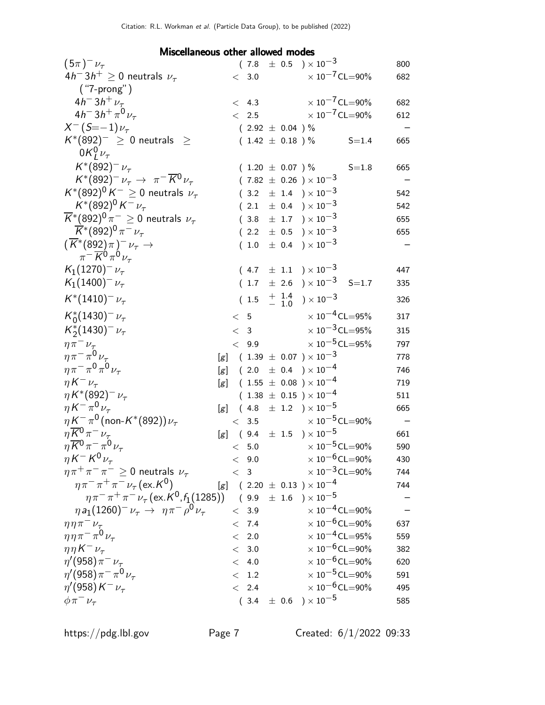## Miscellaneous other allowed modes

| $(5\pi)^{-1}$                                                      |     |       |         |                      | $(7.8 \pm 0.5) \times 10^{-3}$                     |           | 800 |
|--------------------------------------------------------------------|-----|-------|---------|----------------------|----------------------------------------------------|-----------|-----|
| $4h^{-}3h^{+} \geq 0$ neutrals $\nu_{\tau}$                        |     |       | < 3.0   |                      | $\times$ 10 $^{-7}$ CL=90%                         |           | 682 |
| ("7-prong")                                                        |     |       |         |                      |                                                    |           |     |
| $4h^{-}3h^{+}\nu_{\tau}$                                           |     |       | < 4.3   |                      | $\times 10^{-7}$ CL=90%                            |           | 682 |
| $4h^{-}3h^{+}\pi^{0}\nu_{\tau}$                                    |     |       |         | < 2.5                | $\times$ 10 $^{-7}$ CL $=$ 90%                     |           | 612 |
| $X^{-}(S=-1)\nu_{\tau}$                                            |     |       |         | $(2.92 \pm 0.04) \%$ |                                                    |           |     |
| $K^*(892)^- \geq 0$ neutrals $\geq$                                |     |       |         | $(1.42 \pm 0.18) \%$ |                                                    | $S = 1.4$ | 665 |
| $0K_l^0\nu_\tau$                                                   |     |       |         |                      |                                                    |           |     |
| $K^*(892)^{-1}$                                                    |     |       |         | $(1.20 \pm 0.07) \%$ |                                                    | $S = 1.8$ | 665 |
| $K^*(892)^- \nu_\tau \to \pi^- \overline{K^0} \nu_\tau$            |     |       |         |                      | $(7.82 \pm 0.26) \times 10^{-3}$                   |           |     |
| $K^*(892)^0 K^- \geq 0$ neutrals $\nu_{\tau}$                      |     |       |         |                      | $(3.2 \pm 1.4) \times 10^{-3}$                     |           | 542 |
| $K^*(892)^0 K^- \nu_\tau$                                          |     |       |         |                      | $(2.1 \pm 0.4) \times 10^{-3}$                     |           | 542 |
| $\overline{K}^*(892)^0 \pi^- \geq 0$ neutrals $\nu_\tau$           |     |       |         |                      | $(3.8 \pm 1.7) \times 10^{-3}$                     |           | 655 |
| $\overline{K}$ *(892) <sup>0</sup> $\pi$ <sup>-</sup> $\nu_{\tau}$ |     |       |         |                      | $(2.2 \pm 0.5) \times 10^{-3}$                     |           | 655 |
| $(\overline{K}^*(892)\pi)^-\nu_\tau \rightarrow$                   |     |       |         |                      | $(1.0 \pm 0.4) \times 10^{-3}$                     |           |     |
| $\pi^{-} \overline{K}^{0} \pi^{0} \nu_{\tau}$                      |     |       |         |                      |                                                    |           |     |
| $K_1(1270)^{-1}$                                                   |     |       |         |                      | $(4.7 \pm 1.1) \times 10^{-3}$                     |           | 447 |
| $K_1(1400)^{-1}$                                                   |     |       |         |                      | $(1.7 \pm 2.6) \times 10^{-3}$ S=1.7               |           | 335 |
| $K^*(1410)^{-1}$                                                   |     |       |         |                      | $(1.5 \tfrac{+1.4}{-1.0}) \times 10^{-3}$          |           | 326 |
| $K_0^*(1430)^{-1}$                                                 |     |       |         |                      | $< 5$ $\times 10^{-4}$ CL=95%                      |           | 317 |
| $K_2^*(1430)^{-1}$                                                 |     |       |         | < 3                  | $\times$ 10 $^{-3}$ CL=95%                         |           | 315 |
| $\eta \pi^- \nu_\tau$                                              |     |       | < 9.9   |                      | $\times$ 10 <sup>-5</sup> CL=95%                   |           | 797 |
| $\eta \pi^- \pi^0 \nu_\tau$                                        |     |       |         |                      | $[g]$ (1.39 $\pm$ 0.07 ) $\times$ 10 <sup>-3</sup> |           | 778 |
| $\eta\pi^-\pi^0\pi^0\nu_\tau$                                      |     |       |         |                      | $[g]$ (2.0 $\pm$ 0.4 ) × 10 <sup>-4</sup>          |           | 746 |
| $\eta K^{-} \nu_{\tau}$                                            | [g] |       |         |                      | $(1.55 \pm 0.08) \times 10^{-4}$                   |           | 719 |
| $\eta K^{*}(892)^{-}\nu_{\tau}$                                    |     |       |         |                      | $(1.38 \pm 0.15) \times 10^{-4}$                   |           | 511 |
| $\eta K^{-} \pi^0 \nu_{\tau}$                                      | [g] |       |         |                      | $(4.8 \pm 1.2) \times 10^{-5}$                     |           | 665 |
| $\eta K^{-} \pi^{0}$ (non-K*(892)) $\nu_{\tau}$                    |     |       | < 3.5   |                      | $\times$ 10 $^{-5}$ CL $=$ 90%                     |           |     |
| $\eta \overline{K}{}^0 \pi^- \nu_\tau$                             |     |       |         |                      | [g] $(9.4 \pm 1.5) \times 10^{-5}$                 |           | 661 |
| $\eta \overline{K}{}^0 \pi^- \pi^0 \nu_\tau$                       |     |       |         |                      | $< 5.0$ $\times 10^{-5}$ CL=90%                    |           | 590 |
| $\eta K^- K^0 \nu_\tau$                                            |     |       | < 9.0   |                      | $\times$ 10 <sup>-6</sup> CL=90%                   |           | 430 |
| $\eta \pi^+ \pi^- \pi^- \geq 0$ neutrals $\nu_\tau$                |     |       | < 3     |                      | $\times$ $10^{-3}$ CL=90%                          |           | 744 |
| $\eta \pi^- \pi^+ \pi^- \nu_{\tau}$ (ex. K <sup>0</sup> )          |     |       |         |                      | $[g]$ (2.20 $\pm$ 0.13 ) $\times$ 10 <sup>-4</sup> |           | 744 |
| $\eta \pi^- \pi^+ \pi^- \nu_\tau (\text{ex.}\, K^0, f_1(1285))$    |     |       |         |                      | $(9.9 \pm 1.6) \times 10^{-5}$                     |           |     |
| $\eta a_1 (1260)^- \nu_\tau \to \eta \pi^- \rho^0 \nu_\tau$        |     |       | $< 3.9$ |                      | $\times$ 10 <sup>-4</sup> CL=90%                   |           |     |
| $\eta \eta \pi^- \nu_\tau$                                         |     |       | < 7.4   |                      | $\times$ 10 <sup>-6</sup> CL=90%                   |           | 637 |
| $\eta \eta \pi^- \pi^0 \nu_\tau$                                   |     |       | < 2.0   |                      | $\times$ 10 <sup>-4</sup> CL=95%                   |           | 559 |
| $\eta \eta K^{-} \nu_{\tau}$                                       |     |       | < 3.0   |                      | $\times$ 10 <sup>-6</sup> CL=90%                   |           | 382 |
| $\eta'(958)\pi^{-}\nu_{\tau}$                                      |     |       | $< 4.0$ |                      | $\times$ 10 <sup>-6</sup> CL=90%                   |           | 620 |
| $\eta'(958)\pi^{-}\pi^{0}\nu_{\tau}$                               |     | $\lt$ | $1.2\,$ |                      | $\times$ 10 <sup>-5</sup> CL=90%                   |           | 591 |
| $\eta'(958)K^{-}\nu_{\tau}$                                        |     |       | < 2.4   |                      | $\times$ 10 <sup>-6</sup> CL=90%                   |           | 495 |
| $\phi \pi^- \nu_\tau$                                              |     |       | (3.4)   |                      | $\pm$ 0.6 ) $\times$ 10 <sup>-5</sup>              |           | 585 |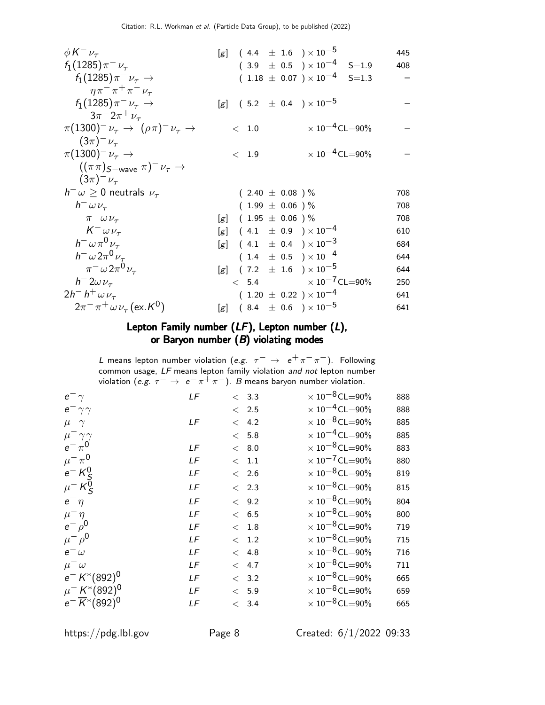| $\phi K^{-} \nu_{\tau}$                                                   | [g] $(4.4 \pm 1.6) \times 10^{-5}$        | 445 |
|---------------------------------------------------------------------------|-------------------------------------------|-----|
| $f_1(1285)\pi^{-}\nu_{\tau}$                                              | $(3.9 \pm 0.5) \times 10^{-4}$ S=1.9      | 408 |
| $f_1(1285)\pi^- \nu_\tau \to$                                             | $(1.18 \pm 0.07) \times 10^{-4}$ S=1.3    |     |
| $\eta \pi^- \pi^+ \pi^- \nu_\tau$                                         |                                           |     |
| $f_1(1285)\pi^- \nu_\tau \to$                                             | [g] $(5.2 \pm 0.4) \times 10^{-5}$        |     |
| $3\pi^{-}2\pi^{+}\nu_{\tau}$                                              |                                           |     |
| $\pi(1300)^{-}\nu_{\tau} \rightarrow (\rho\pi)^{-}\nu_{\tau} \rightarrow$ | $\times$ 10 <sup>-4</sup> CL=90%<br>< 1.0 |     |
| $(3\pi)^{-1} \nu_{\tau}$                                                  |                                           |     |
| $\pi(1300)^{-1}\nu_{\tau} \rightarrow$                                    | $\times 10^{-4}$ CL=90%<br>< 1.9          |     |
| $((\pi \pi)_{S-wave} \pi)^{-} \nu_{\tau} \rightarrow$                     |                                           |     |
| $(3\pi)^{-1} \nu_{\tau}$                                                  |                                           |     |
| $h^{-} \omega \geq 0$ neutrals $\nu_{\tau}$                               | $(2.40 \pm 0.08) \%$                      | 708 |
| $h^ \omega \nu_{\tau}$                                                    | $(1.99 \pm 0.06)$ %                       | 708 |
| $\pi^ \omega$ $\nu_{\tau}$                                                | [g] $(1.95 \pm 0.06)$ %                   | 708 |
| $K^ \omega \nu_{\tau}$                                                    | [g] $(4.1 \pm 0.9) \times 10^{-4}$        | 610 |
| $h^- \omega \pi^0 \nu_\tau$                                               | [g] $(4.1 \pm 0.4) \times 10^{-3}$        | 684 |
| $h^- \omega 2\pi^0 \nu_\tau$                                              | $(1.4 \pm 0.5) \times 10^{-4}$            | 644 |
| $\pi^-\omega 2\pi^0\nu_\tau$                                              | [g] $(7.2 \pm 1.6) \times 10^{-5}$        | 644 |
| $h = 2\omega \nu_{\tau}$                                                  | $< 5.4 \times 10^{-7}$ CL=90%             | 250 |
| $2h^-h^+\omega\nu_\tau$                                                   | $(1.20 \pm 0.22) \times 10^{-4}$          | 641 |
| $2\pi^{-}$ $\pi^{+}$ $\omega$ $\nu_{\tau}$ (ex. K <sup>0</sup> )          | [g] $(8.4 \pm 0.6) \times 10^{-5}$        | 641 |

## Lepton Family number (LF), Lepton number (L), or Baryon number  $(B)$  violating modes

L means lepton number violation (e.g.  $\tau^- \rightarrow e^+ \pi^- \pi^-$ ). Following common usage, LF means lepton family violation *and not* lepton number violation (e.g.  $\tau^- \to e^- \pi^+ \pi^-$ ). B means baryon number violation.

| LF | < 3.3         | $\times$ 10 <sup>-8</sup> CL=90% | 888 |
|----|---------------|----------------------------------|-----|
|    | $\langle$ 2.5 | $\times$ 10 <sup>-4</sup> CL=90% | 888 |
| LF | < 4.2         | $\times$ 10 <sup>-8</sup> CL=90% | 885 |
|    | < 5.8         | $\times$ 10 <sup>-4</sup> CL=90% | 885 |
| LF | < 8.0         | $\times$ 10 <sup>-8</sup> CL=90% | 883 |
| LF | $<$ 1.1       | $\times$ 10 <sup>-7</sup> CL=90% | 880 |
| LF | < 2.6         | $\times$ 10 <sup>-8</sup> CL=90% | 819 |
| LF | < 2.3         | $\times$ 10 <sup>-8</sup> CL=90% | 815 |
| LF | < 9.2         | $\times$ 10 <sup>-8</sup> CL=90% | 804 |
| LF | < 6.5         | $\times$ 10 <sup>-8</sup> CL=90% | 800 |
| LF | < 1.8         | $\times$ 10 <sup>-8</sup> CL=90% | 719 |
| LF | < 1.2         | $\times$ 10 <sup>-8</sup> CL=90% | 715 |
| LF | < 4.8         | $\times$ 10 <sup>-8</sup> CL=90% | 716 |
| LF | < 4.7         | $\times$ 10 <sup>-8</sup> CL=90% | 711 |
| LF | < 3.2         | $\times$ 10 <sup>-8</sup> CL=90% | 665 |
| LF | < 5.9         | $\times$ 10 <sup>-8</sup> CL=90% | 659 |
| LF | < 3.4         | $\times$ 10 <sup>-8</sup> CL=90% | 665 |
|    |               |                                  |     |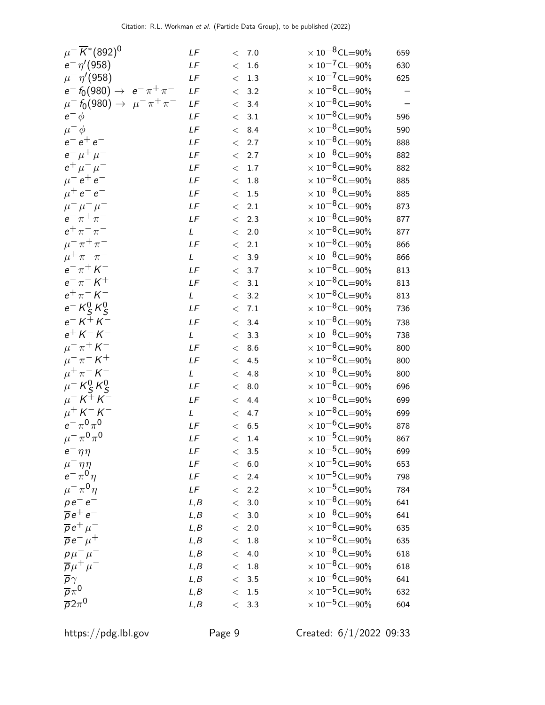| $\mu^{-} \overline{K}^{*} (892)^{0}$                         | LF            |       | < 7.0             | $\times$ 10 <sup>-8</sup> CL=90% | 659 |
|--------------------------------------------------------------|---------------|-------|-------------------|----------------------------------|-----|
| $e^- \eta' (958)$                                            | $L\digamma$   | $\lt$ | 1.6               | $\times$ 10 <sup>-7</sup> CL=90% | 630 |
| $\mu^{-} \eta' (958)$                                        | $L\digamma$   | $\lt$ | 1.3               | $\times$ 10 <sup>-7</sup> CL=90% | 625 |
| $e^- f_0(980) \rightarrow e^- \pi^+ \pi^-$                   | LF            | $\lt$ | 3.2               | $\times$ 10 <sup>-8</sup> CL=90% |     |
| $\mu^-$ f <sub>0</sub> (980) $\rightarrow \mu^- \pi^+ \pi^-$ | LF            | $\lt$ | 3.4               | $\times$ 10 $^{-8}$ CL $=$ 90%   |     |
| $e^ \phi$                                                    | LF            | $\lt$ | 3.1               | $\times$ 10 <sup>-8</sup> CL=90% | 596 |
| $\mu^- \phi$                                                 | $L\digamma$   | $\lt$ | 8.4               | $\times$ 10 <sup>-8</sup> CL=90% | 590 |
| $e^-e^+e^-$                                                  | $L\digamma$   | $\lt$ | 2.7               | $\times$ 10 $^{-8}$ CL=90%       | 888 |
| $e^- \mu^+ \mu^-$                                            | LF            | $\lt$ | 2.7               | $\times$ 10 $^{-8}$ CL $=$ 90%   | 882 |
| $e^+ \mu^- \mu^-$                                            | $L\digamma$   | $\lt$ | 1.7               | $\times$ 10 $^{-8}$ CL $=$ 90%   | 882 |
| $\mu^- e^+ e^-$                                              | LF            | $\lt$ | 1.8               | $\times$ 10 $^{-8}$ CL=90%       | 885 |
| $\mu^+ e^- e^-$                                              | LF            | $\lt$ | 1.5               | $\times$ 10 $^{-8}$ CL $=$ 90%   | 885 |
| $\mu^{-} \mu^{+} \mu^{-}$                                    | $L\digamma$   | $\lt$ | 2.1               | $\times$ 10 $^{-8}$ CL=90%       | 873 |
| $e^- \pi^+ \pi^-$                                            | LF            | $\lt$ | 2.3               | $\times$ 10 <sup>-8</sup> CL=90% | 877 |
| $e^+ \pi^- \pi^-$                                            | L             | $\lt$ | 2.0               | $\times$ 10 $^{-8}$ CL $=$ 90%   | 877 |
| $\mu^{-} \pi^{+} \pi^{-}$                                    | LF            | $\lt$ | 2.1               | $\times$ 10 $^{-8}$ CL $=$ 90%   | 866 |
| $\mu^+ \pi^- \pi^-$                                          | $\mathsf{L}$  | $\lt$ | 3.9               | $\times$ 10 $^{-8}$ CL $=$ 90%   | 866 |
| $e^- \pi^+ K^-$                                              | $L\digamma$   | $\lt$ | 3.7               | $\times$ 10 $^{-8}$ CL=90%       | 813 |
| $e^- \pi^- K^+$                                              | LF            | $\lt$ | 3.1               | $\times$ 10 <sup>-8</sup> CL=90% | 813 |
| $e^+ \pi^- K^-$                                              | L             | $\lt$ | 3.2               | $\times$ 10 <sup>-8</sup> CL=90% | 813 |
| $e^- K^0_S K^0_S$                                            | LF            | $\lt$ | $7.1\,$           | $\times$ 10 $^{-8}$ CL=90%       | 736 |
| $e^- K^+ K^-$                                                | LF            | $\lt$ | 3.4               | $\times$ 10 <sup>-8</sup> CL=90% | 738 |
| $e^{+}$ K $-$ K $-$                                          | L             | $\lt$ | 3.3               | $\times$ 10 $^{-8}$ CL $=$ 90%   | 738 |
| $\mu^-\,\pi^+\,K^-$                                          | $L\digamma$   | $\lt$ | 8.6               | $\times$ 10 $^{-8}$ CL $=$ 90%   | 800 |
| $\mu^-\,\pi^ K^+$                                            | $L\digamma$   | $\lt$ | 4.5               | $\times$ 10 <sup>-8</sup> CL=90% | 800 |
| $\mu^{+} \pi^{-} K^{-}$                                      | $\mathcal{L}$ | $\lt$ | 4.8               | $\times$ 10 $^{-8}$ CL=90%       | 800 |
| $\mu$ <sup>-</sup> $K_S^0$ $K_S^0$                           | LF            | $\lt$ | 8.0               | $\times$ 10 <sup>-8</sup> CL=90% | 696 |
| $\mu^- K^+ K^-$                                              | LF            | $\lt$ | 4.4               | $\times$ 10 $^{-8}$ CL=90%       | 699 |
| $\mu^+$ $\mathsf{K}^ \mathsf{K}^-$                           | L             | $\lt$ | 4.7               | $\times$ 10 $^{-8}$ CL $=$ 90%   | 699 |
| $e^{-} \pi^{0} \pi^{0}$                                      | LF            | $\lt$ | 6.5               | $\times$ 10 $^{-6}$ CL=90%       | 878 |
| $\mu^-\,\pi^0\,\pi^0$                                        | LF            |       | < 1.4             | $\times$ 10 <sup>-5</sup> CL=90% | 867 |
| $e^-\eta\eta$                                                | LF            |       | $< 3.5$           | $\times$ 10 <sup>-5</sup> CL=90% | 699 |
| $\mu^-\eta\eta$                                              | LF            |       | < 6.0             | $\times$ 10 <sup>-5</sup> CL=90% | 653 |
| $e^{-\pi^0 n}$                                               | $L\digamma$   |       | < 2.4             | $\times$ 10 <sup>-5</sup> CL=90% | 798 |
| $\mu^{-} \pi^{0} \eta$                                       | LF            |       | < 2.2             | $\times$ 10 <sup>-5</sup> CL=90% | 784 |
| $p e^- e^-$                                                  | L, B          |       | $<\phantom{0}3.0$ | $\times$ 10 <sup>-8</sup> CL=90% | 641 |
| $\overline{p}e^+e^-$                                         | L, B          |       | < 3.0             | $\times$ 10 <sup>-8</sup> CL=90% | 641 |
| $\overline{p}e^+\mu^-$                                       | L, B          | $\lt$ | 2.0               | $\times$ 10 <sup>-8</sup> CL=90% | 635 |
| $\overline{p}e^{-}\mu^{+}$                                   | L, B          | $\lt$ | $1.8\,$           | $\times$ 10 <sup>-8</sup> CL=90% | 635 |
| $p\mu^{-}\mu^{-}$                                            | L, B          | $\lt$ | 4.0               | $\times$ 10 <sup>-8</sup> CL=90% | 618 |
| $\overline{p}\mu^+\mu^-$                                     | L, B          |       | $\rm <~1.8$       | $\times$ 10 <sup>-8</sup> CL=90% | 618 |
| $\overline{p}\, \gamma$                                      | L, B          |       | < 3.5             | $\times$ 10 <sup>-6</sup> CL=90% | 641 |
| $\overline{p}\pi^0$                                          | L, B          |       | $< 1.5$           | $\times$ 10 <sup>-5</sup> CL=90% | 632 |
| $\overline{p}2\pi^0$                                         | L, B          |       | < 3.3             | $\times$ 10 <sup>-5</sup> CL=90% | 604 |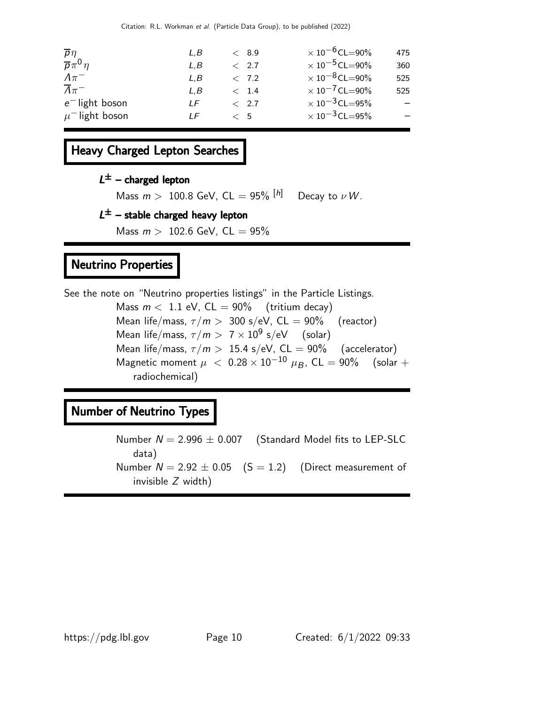| $\overline{p} \eta$            | L.B | < 8.9    | $\times$ 10 <sup>-6</sup> CL=90% | 475 |
|--------------------------------|-----|----------|----------------------------------|-----|
| $\overline{p}\pi^0\eta$        | L.B | < 2.7    | $\times$ 10 <sup>-5</sup> CL=90% | 360 |
| $\Lambda\pi^-$                 | L.B | < 7.2    | $\times$ 10 <sup>-8</sup> CL=90% | 525 |
| $\overline{\Lambda} \pi^-$     | L.B | < 1.4    | $\times$ 10 <sup>-7</sup> CL=90% | 525 |
| $e^-$ light boson              | ΙF  | < 2.7    | $\times$ 10 $^{-3}$ CL $=$ 95%   | $-$ |
| $\mu$ <sup>-</sup> light boson | I F | $\leq$ 5 | $\times$ 10 <sup>-3</sup> CL=95% | $-$ |
|                                |     |          |                                  |     |

# Heavy Charged Lepton Searches

## $L^{\pm}$  – charged lepton

Mass  $m > 100.8$  GeV, CL = 95%  $[h]$  Decay to  $\nu W$ .

## $L^{\pm}$  – stable charged heavy lepton

Mass  $m > 102.6$  GeV,  $CL = 95\%$ 

# Neutrino Properties

See the note on "Neutrino properties listings" in the Particle Listings. Mass  $m < 1.1$  eV,  $CL = 90\%$  (tritium decay) Mean life/mass,  $\tau/m > 300$  s/eV, CL = 90% (reactor) Mean life/mass,  $\tau/m > 7 \times 10^9$  s/eV (solar) Mean life/mass,  $\tau/m > 15.4$  s/eV,  $CL = 90\%$  (accelerator) Magnetic moment  $\mu$  < 0.28 × 10<sup>-10</sup>  $\mu$ <sub>B</sub>, CL = 90% (solar + radiochemical)

## Number of Neutrino Types

Number  $N = 2.996 \pm 0.007$  (Standard Model fits to LEP-SLC data) Number  $N = 2.92 \pm 0.05$  (S = 1.2) (Direct measurement of invisible Z width)